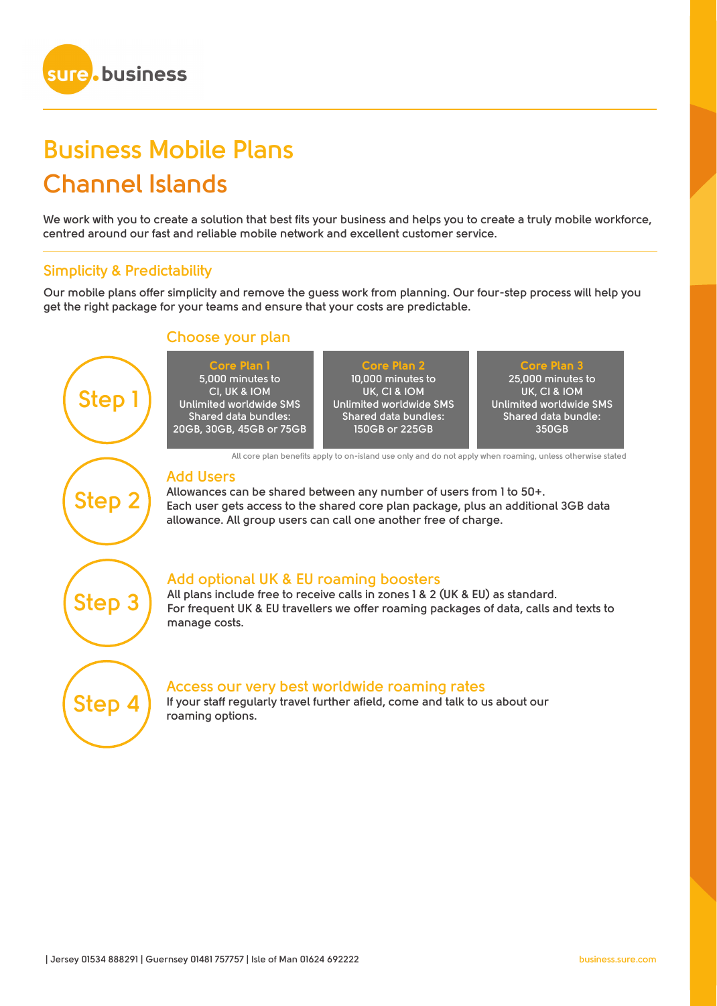

# **Business Mobile Plans Channel Islands**

**We work with you to create a solution that best fits your business and helps you to create a truly mobile workforce, centred around our fast and reliable mobile network and excellent customer service.**

## **Simplicity & Predictability**

**Our mobile plans offer simplicity and remove the guess work from planning. Our four-step process will help you get the right package for your teams and ensure that your costs are predictable.** 





## **Access our very best worldwide roaming rates**

**If your staff regularly travel further afield, come and talk to us about our roaming options.**